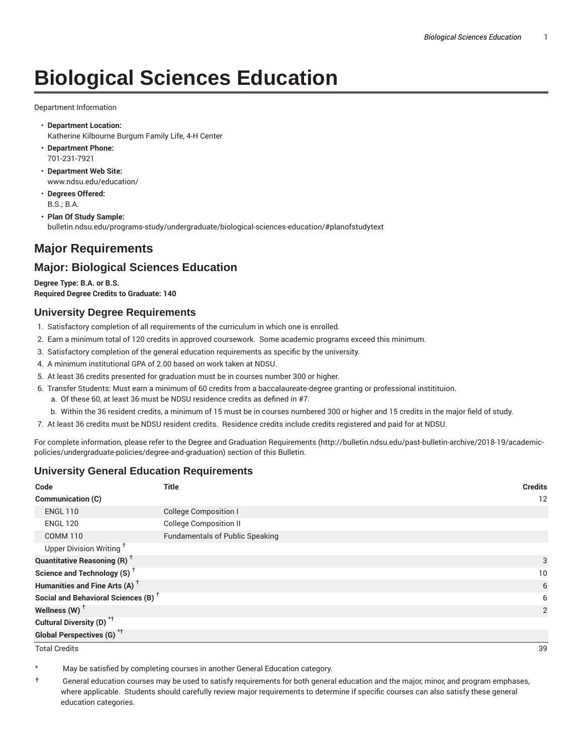# **Biological Sciences Education**

Department Information

- **Department Location:** Katherine Kilbourne Burgum Family Life, 4-H Center
- **Department Phone:** 701-231-7921
- **Department Web Site:** www.ndsu.edu/education/
- **Degrees Offered:** B.S.; B.A.
- **Plan Of Study Sample:** bulletin.ndsu.edu/programs-study/undergraduate/biological-sciences-education/#planofstudytext

# **Major Requirements**

## **Major: Biological Sciences Education**

**Degree Type: B.A. or B.S. Required Degree Credits to Graduate: 140**

#### **University Degree Requirements**

- 1. Satisfactory completion of all requirements of the curriculum in which one is enrolled.
- 2. Earn a minimum total of 120 credits in approved coursework. Some academic programs exceed this minimum.
- 3. Satisfactory completion of the general education requirements as specific by the university.
- 4. A minimum institutional GPA of 2.00 based on work taken at NDSU.
- 5. At least 36 credits presented for graduation must be in courses number 300 or higher.
- 6. Transfer Students: Must earn a minimum of 60 credits from a baccalaureate-degree granting or professional institituion.
	- a. Of these 60, at least 36 must be NDSU residence credits as defined in #7.
	- b. Within the 36 resident credits, a minimum of 15 must be in courses numbered 300 or higher and 15 credits in the major field of study.
- 7. At least 36 credits must be NDSU resident credits. Residence credits include credits registered and paid for at NDSU.

For complete information, please refer to the Degree and Graduation Requirements (http://bulletin.ndsu.edu/past-bulletin-archive/2018-19/academicpolicies/undergraduate-policies/degree-and-graduation) section of this Bulletin.

#### **University General Education Requirements**

| Code                                            | <b>Title</b>                           | <b>Credits</b> |
|-------------------------------------------------|----------------------------------------|----------------|
| Communication (C)                               |                                        | 12             |
| <b>ENGL 110</b>                                 | <b>College Composition I</b>           |                |
| <b>ENGL 120</b>                                 | <b>College Composition II</b>          |                |
| <b>COMM 110</b>                                 | <b>Fundamentals of Public Speaking</b> |                |
| Upper Division Writing <sup>+</sup>             |                                        |                |
| <b>Quantitative Reasoning (R)</b> <sup>†</sup>  |                                        | 3              |
| Science and Technology (S) <sup>+</sup>         |                                        | 10             |
| Humanities and Fine Arts (A) <sup>+</sup>       |                                        | 6              |
| Social and Behavioral Sciences (B) <sup>+</sup> |                                        | 6              |
| Wellness $(W)$ <sup>+</sup>                     |                                        | 2              |
| Cultural Diversity (D) <sup>*†</sup>            |                                        |                |
| <b>Global Perspectives (G)<sup>*†</sup></b>     |                                        |                |

Total Credits 39

May be satisfied by completing courses in another General Education category.

† General education courses may be used to satisfy requirements for both general education and the major, minor, and program emphases, where applicable. Students should carefully review major requirements to determine if specific courses can also satisfy these general education categories.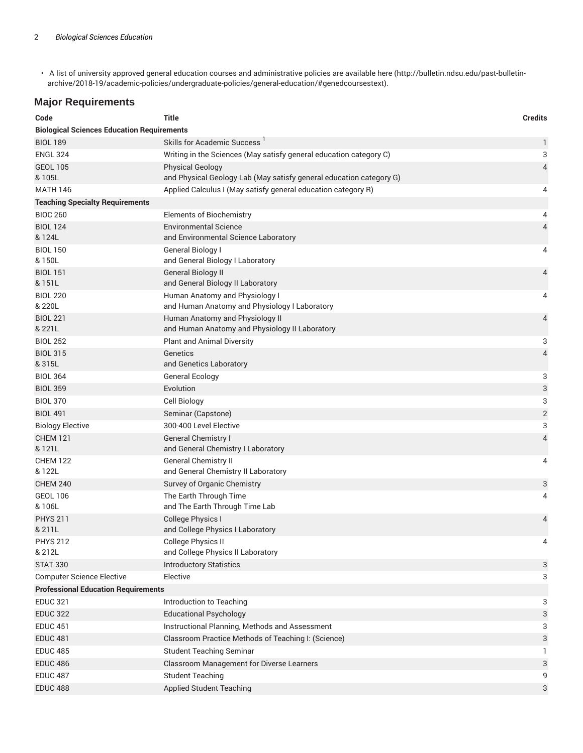• A list of university approved general education courses and administrative policies are available here (http://bulletin.ndsu.edu/past-bulletinarchive/2018-19/academic-policies/undergraduate-policies/general-education/#genedcoursestext).

### **Major Requirements**

| Code                                                      | <b>Title</b>                                                        | <b>Credits</b> |  |
|-----------------------------------------------------------|---------------------------------------------------------------------|----------------|--|
| <b>Biological Sciences Education Requirements</b>         |                                                                     |                |  |
| <b>BIOL 189</b>                                           | Skills for Academic Success <sup>1</sup>                            | 1              |  |
| <b>ENGL 324</b>                                           | Writing in the Sciences (May satisfy general education category C)  | 3              |  |
| <b>GEOL 105</b>                                           | <b>Physical Geology</b>                                             | 4              |  |
| & 105L                                                    | and Physical Geology Lab (May satisfy general education category G) |                |  |
| <b>MATH 146</b>                                           | Applied Calculus I (May satisfy general education category R)       | 4              |  |
| <b>Teaching Specialty Requirements</b><br><b>BIOC 260</b> |                                                                     |                |  |
| <b>BIOL 124</b>                                           | <b>Elements of Biochemistry</b><br><b>Environmental Science</b>     | 4              |  |
| & 124L                                                    | and Environmental Science Laboratory                                | 4              |  |
| <b>BIOL 150</b>                                           | General Biology I                                                   | 4              |  |
| & 150L                                                    | and General Biology I Laboratory                                    |                |  |
| <b>BIOL 151</b><br>& 151L                                 | <b>General Biology II</b><br>and General Biology II Laboratory      | 4              |  |
| <b>BIOL 220</b>                                           | Human Anatomy and Physiology I                                      | 4              |  |
| & 220L                                                    | and Human Anatomy and Physiology I Laboratory                       |                |  |
| <b>BIOL 221</b>                                           | Human Anatomy and Physiology II                                     | 4              |  |
| & 221L                                                    | and Human Anatomy and Physiology II Laboratory                      |                |  |
| <b>BIOL 252</b>                                           | <b>Plant and Animal Diversity</b>                                   | 3              |  |
| <b>BIOL 315</b><br>& 315L                                 | Genetics<br>and Genetics Laboratory                                 | $\overline{4}$ |  |
| <b>BIOL 364</b>                                           | General Ecology                                                     | 3              |  |
| <b>BIOL 359</b>                                           | Evolution                                                           | 3              |  |
| <b>BIOL 370</b>                                           | Cell Biology                                                        | 3              |  |
| <b>BIOL 491</b>                                           | Seminar (Capstone)                                                  | $\mathbf{2}$   |  |
| <b>Biology Elective</b>                                   | 300-400 Level Elective                                              | 3              |  |
| <b>CHEM 121</b>                                           | General Chemistry I                                                 | 4              |  |
| & 121L                                                    | and General Chemistry I Laboratory                                  |                |  |
| <b>CHEM 122</b><br>& 122L                                 | <b>General Chemistry II</b><br>and General Chemistry II Laboratory  | 4              |  |
| <b>CHEM 240</b>                                           | Survey of Organic Chemistry                                         | 3              |  |
| <b>GEOL 106</b>                                           | The Earth Through Time                                              | 4              |  |
| & 106L                                                    | and The Earth Through Time Lab                                      |                |  |
| <b>PHYS 211</b><br>& 211L                                 | <b>College Physics I</b><br>and College Physics I Laboratory        | 4              |  |
| <b>PHYS 212</b>                                           | College Physics II                                                  | 4              |  |
| & 212L                                                    | and College Physics II Laboratory                                   |                |  |
| <b>STAT 330</b>                                           | <b>Introductory Statistics</b>                                      | 3              |  |
| <b>Computer Science Elective</b>                          | Elective                                                            | 3              |  |
| <b>Professional Education Requirements</b>                |                                                                     |                |  |
| <b>EDUC 321</b>                                           | Introduction to Teaching                                            | 3              |  |
| <b>EDUC 322</b>                                           | <b>Educational Psychology</b>                                       | 3              |  |
| <b>EDUC 451</b>                                           | Instructional Planning, Methods and Assessment                      | 3              |  |
| <b>EDUC 481</b>                                           | Classroom Practice Methods of Teaching I: (Science)                 | 3              |  |
| <b>EDUC 485</b>                                           | <b>Student Teaching Seminar</b>                                     | 1.             |  |
| <b>EDUC 486</b>                                           | Classroom Management for Diverse Learners                           | 3              |  |
| <b>EDUC 487</b>                                           | <b>Student Teaching</b>                                             | 9              |  |
| <b>EDUC 488</b>                                           | <b>Applied Student Teaching</b>                                     | 3              |  |